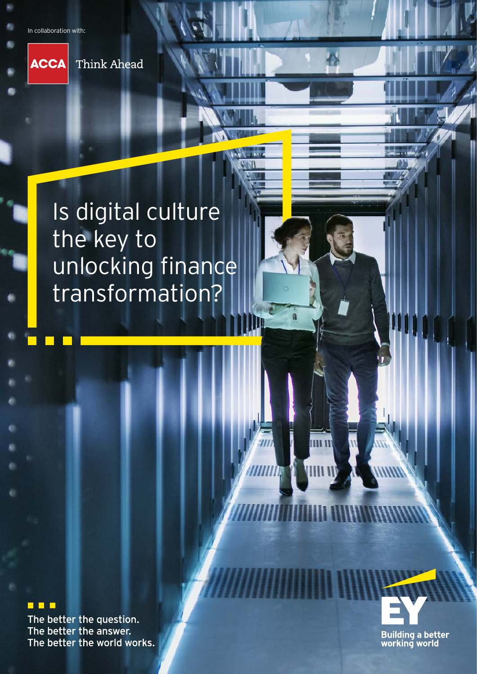In collaboration with:

**ACCA** Think Ahead

# Is digital culture the key to unlocking finance transformation?

#### ▉▉▉

The better the question. The better the answer. The better the world works.

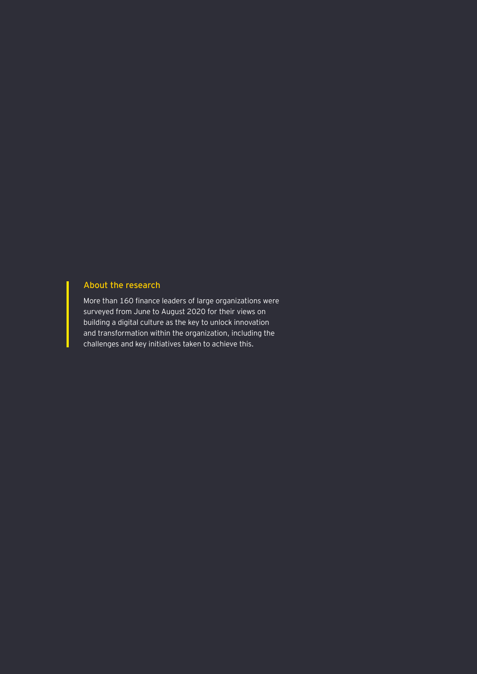#### About the research

More than 160 finance leaders of large organizations were surveyed from June to August 2020 for their views on building a digital culture as the key to unlock innovation and transformation within the organization, including the challenges and key initiatives taken to achieve this.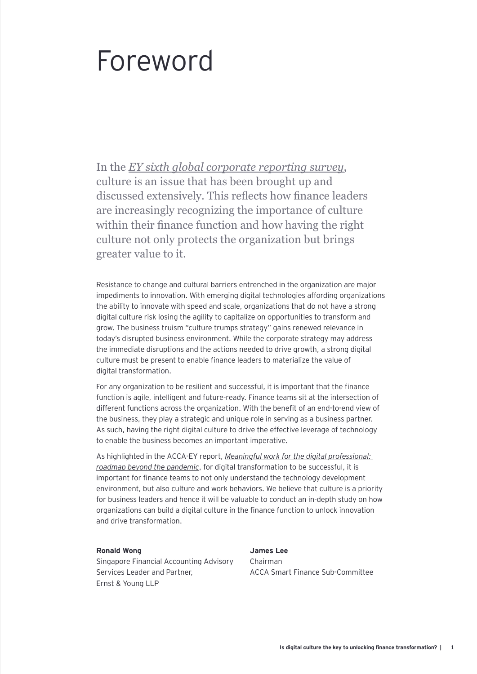# Foreword

In the *[EY sixth global corporate reporting survey](https://www.ey.com/en_sg/assurance/does-corporate-reporting-need-a-culture-shock)*, culture is an issue that has been brought up and discussed extensively. This reflects how finance leaders are increasingly recognizing the importance of culture within their finance function and how having the right culture not only protects the organization but brings greater value to it.

Resistance to change and cultural barriers entrenched in the organization are major impediments to innovation. With emerging digital technologies affording organizations the ability to innovate with speed and scale, organizations that do not have a strong digital culture risk losing the agility to capitalize on opportunities to transform and grow. The business truism "culture trumps strategy" gains renewed relevance in today's disrupted business environment. While the corporate strategy may address the immediate disruptions and the actions needed to drive growth, a strong digital culture must be present to enable finance leaders to materialize the value of digital transformation.

For any organization to be resilient and successful, it is important that the finance function is agile, intelligent and future-ready. Finance teams sit at the intersection of different functions across the organization. With the benefit of an end-to-end view of the business, they play a strategic and unique role in serving as a business partner. As such, having the right digital culture to drive the effective leverage of technology to enable the business becomes an important imperative.

As highlighted in the ACCA-EY report, *[Meaningful work for the digital professional:](https://www.accaglobal.com/gb/en/professional-insights/technology/Meaningful_Work_Digital_Professional.html)  [roadmap beyond the pandemic](https://www.accaglobal.com/gb/en/professional-insights/technology/Meaningful_Work_Digital_Professional.html)*, for digital transformation to be successful, it is important for finance teams to not only understand the technology development environment, but also culture and work behaviors. We believe that culture is a priority for business leaders and hence it will be valuable to conduct an in-depth study on how organizations can build a digital culture in the finance function to unlock innovation and drive transformation.

#### **Ronald Wong**

Singapore Financial Accounting Advisory Services Leader and Partner, Ernst & Young LLP

**James Lee** Chairman ACCA Smart Finance Sub-Committee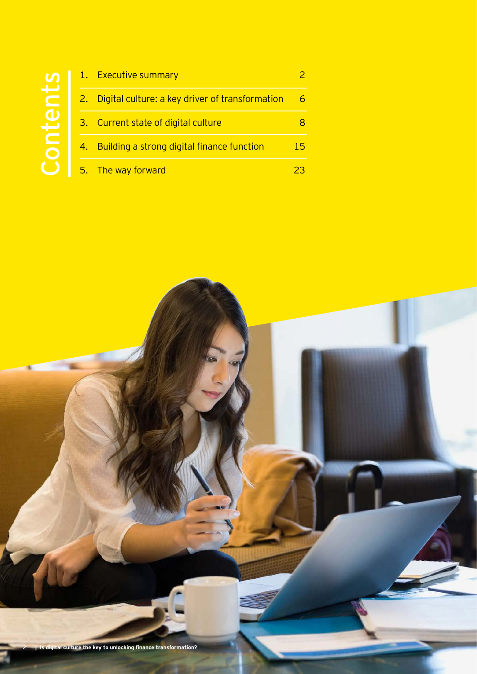# Contents Contents

| 1. Executive summary                               |     |
|----------------------------------------------------|-----|
| 2. Digital culture: a key driver of transformation |     |
| 3. Current state of digital culture                |     |
| 4. Building a strong digital finance function      | 15. |
| 5. The way forward                                 |     |

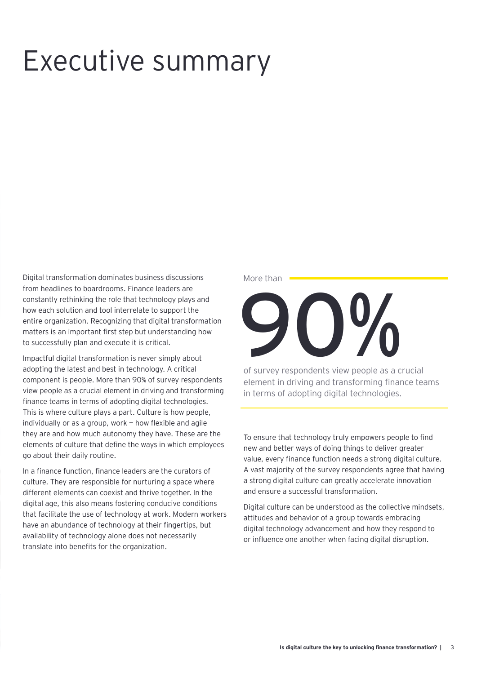# Executive summary

Digital transformation dominates business discussions from headlines to boardrooms. Finance leaders are constantly rethinking the role that technology plays and how each solution and tool interrelate to support the entire organization. Recognizing that digital transformation matters is an important first step but understanding how to successfully plan and execute it is critical.

Impactful digital transformation is never simply about adopting the latest and best in technology. A critical component is people. More than 90% of survey respondents view people as a crucial element in driving and transforming finance teams in terms of adopting digital technologies. This is where culture plays a part. Culture is how people, individually or as a group, work — how flexible and agile they are and how much autonomy they have. These are the elements of culture that define the ways in which employees go about their daily routine.

In a finance function, finance leaders are the curators of culture. They are responsible for nurturing a space where different elements can coexist and thrive together. In the digital age, this also means fostering conducive conditions that facilitate the use of technology at work. Modern workers have an abundance of technology at their fingertips, but availability of technology alone does not necessarily translate into benefits for the organization.

#### More than

 $\Omega_{\rm M}$ 

of survey respondents view people as a crucial element in driving and transforming finance teams in terms of adopting digital technologies.

To ensure that technology truly empowers people to find new and better ways of doing things to deliver greater value, every finance function needs a strong digital culture. A vast majority of the survey respondents agree that having a strong digital culture can greatly accelerate innovation and ensure a successful transformation.

Digital culture can be understood as the collective mindsets, attitudes and behavior of a group towards embracing digital technology advancement and how they respond to or influence one another when facing digital disruption.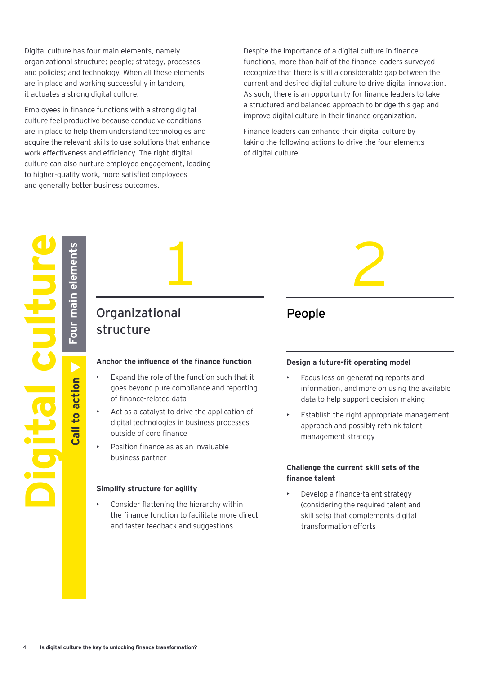Digital culture has four main elements, namely organizational structure; people; strategy, processes and policies; and technology. When all these elements are in place and working successfully in tandem, it actuates a strong digital culture.

Employees in finance functions with a strong digital culture feel productive because conducive conditions are in place to help them understand technologies and acquire the relevant skills to use solutions that enhance work effectiveness and efficiency. The right digital culture can also nurture employee engagement, leading to higher-quality work, more satisfied employees and generally better business outcomes.

Despite the importance of a digital culture in finance functions, more than half of the finance leaders surveyed recognize that there is still a considerable gap between the current and desired digital culture to drive digital innovation. As such, there is an opportunity for finance leaders to take a structured and balanced approach to bridge this gap and improve digital culture in their finance organization.

Finance leaders can enhance their digital culture by taking the following actions to drive the four elements of digital culture.



### Organizational structure

#### **Anchor the influence of the finance function**

- Expand the role of the function such that it goes beyond pure compliance and reporting of finance-related data
- Act as a catalyst to drive the application of digital technologies in business processes outside of core finance
- Position finance as as an invaluable business partner

#### **Simplify structure for agility**

Consider flattening the hierarchy within the finance function to facilitate more direct and faster feedback and suggestions

### People

#### **Design a future-fit operating model**

- Focus less on generating reports and information, and more on using the available data to help support decision-making
- Establish the right appropriate management approach and possibly rethink talent management strategy

#### **Challenge the current skill sets of the finance talent**

• Develop a finance-talent strategy (considering the required talent and skill sets) that complements digital transformation efforts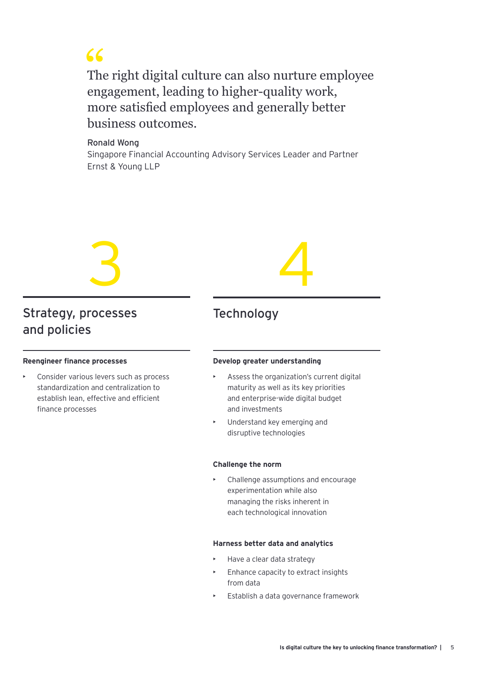

The right digital culture can also nurture employee CCS<br>The right digital culture can also nurture empengagement, leading to higher-quality work, more satisfied employees and generally better business outcomes.

#### Ronald Wong

Singapore Financial Accounting Advisory Services Leader and Partner Ernst & Young LLP



### Strategy, processes and policies

#### **Reengineer finance processes**

• Consider various levers such as process standardization and centralization to establish lean, effective and efficient finance processes

# 4

### **Technology**

#### **Develop greater understanding**

- Assess the organization's current digital maturity as well as its key priorities and enterprise-wide digital budget and investments
- Understand key emerging and disruptive technologies

#### **Challenge the norm**

• Challenge assumptions and encourage experimentation while also managing the risks inherent in each technological innovation

#### **Harness better data and analytics**

- Have a clear data strategy
- Enhance capacity to extract insights from data
- Establish a data governance framework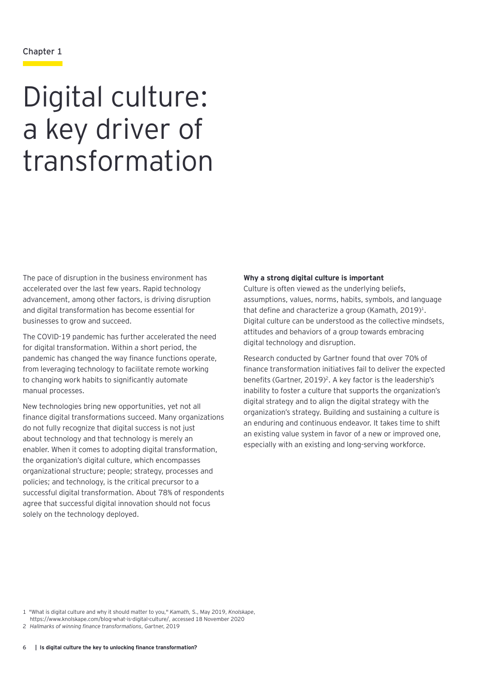#### Chapter 1

# Digital culture: a key driver of transformation

The pace of disruption in the business environment has accelerated over the last few years. Rapid technology advancement, among other factors, is driving disruption and digital transformation has become essential for businesses to grow and succeed.

The COVID-19 pandemic has further accelerated the need for digital transformation. Within a short period, the pandemic has changed the way finance functions operate, from leveraging technology to facilitate remote working to changing work habits to significantly automate manual processes.

New technologies bring new opportunities, yet not all finance digital transformations succeed. Many organizations do not fully recognize that digital success is not just about technology and that technology is merely an enabler. When it comes to adopting digital transformation, the organization's digital culture, which encompasses organizational structure; people; strategy, processes and policies; and technology, is the critical precursor to a successful digital transformation. About 78% of respondents agree that successful digital innovation should not focus solely on the technology deployed.

#### **Why a strong digital culture is important**

Culture is often viewed as the underlying beliefs, assumptions, values, norms, habits, symbols, and language that define and characterize a group (Kamath,  $2019$ )<sup>1</sup>. Digital culture can be understood as the collective mindsets, attitudes and behaviors of a group towards embracing digital technology and disruption.

Research conducted by Gartner found that over 70% of finance transformation initiatives fail to deliver the expected benefits (Gartner, 2019)<sup>2</sup>. A key factor is the leadership's inability to foster a culture that supports the organization's digital strategy and to align the digital strategy with the organization's strategy. Building and sustaining a culture is an enduring and continuous endeavor. It takes time to shift an existing value system in favor of a new or improved one, especially with an existing and long-serving workforce.

1 "What is digital culture and why it should matter to you," *Kamath,* S., May 2019, *Knolskape*,

https://www.knolskape.com/blog-what-is-digital-culture/, accessed 18 November 2020

2 *Hallmarks of winning finance transformations*, Gartner, 2019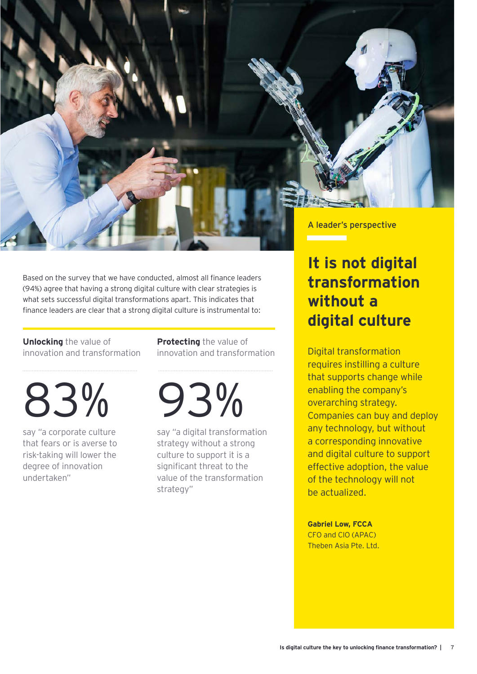

Based on the survey that we have conducted, almost all finance leaders (94%) agree that having a strong digital culture with clear strategies is what sets successful digital transformations apart. This indicates that finance leaders are clear that a strong digital culture is instrumental to:

#### **Unlocking** the value of innovation and transformation

83%

say "a corporate culture that fears or is averse to risk-taking will lower the degree of innovation undertaken"

**Protecting** the value of innovation and transformation

93%

say "a digital transformation strategy without a strong culture to support it is a significant threat to the value of the transformation strategy"

## **It is not digital transformation without a digital culture**

Digital transformation requires instilling a culture that supports change while enabling the company's overarching strategy. Companies can buy and deploy any technology, but without a corresponding innovative and digital culture to support effective adoption, the value of the technology will not be actualized.

**Gabriel Low, FCCA** CFO and CIO (APAC) Theben Asia Pte. Ltd.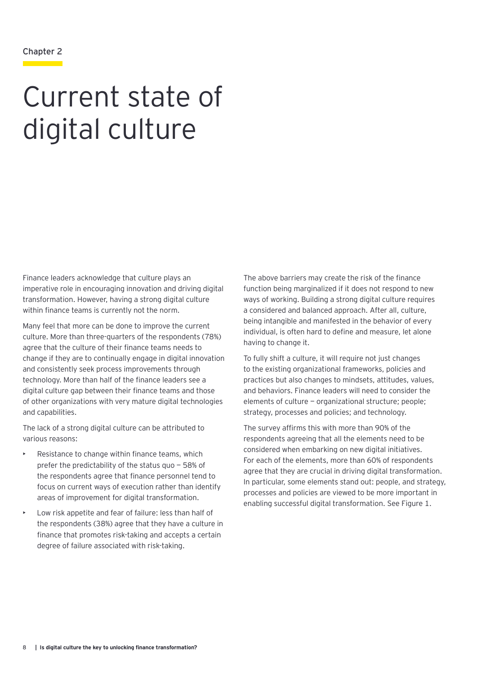#### Chapter 2

# Current state of digital culture

Finance leaders acknowledge that culture plays an imperative role in encouraging innovation and driving digital transformation. However, having a strong digital culture within finance teams is currently not the norm.

Many feel that more can be done to improve the current culture. More than three-quarters of the respondents (78%) agree that the culture of their finance teams needs to change if they are to continually engage in digital innovation and consistently seek process improvements through technology. More than half of the finance leaders see a digital culture gap between their finance teams and those of other organizations with very mature digital technologies and capabilities.

The lack of a strong digital culture can be attributed to various reasons:

- Resistance to change within finance teams, which prefer the predictability of the status quo — 58% of the respondents agree that finance personnel tend to focus on current ways of execution rather than identify areas of improvement for digital transformation.
- Low risk appetite and fear of failure: less than half of the respondents (38%) agree that they have a culture in finance that promotes risk-taking and accepts a certain degree of failure associated with risk-taking.

The above barriers may create the risk of the finance function being marginalized if it does not respond to new ways of working. Building a strong digital culture requires a considered and balanced approach. After all, culture, being intangible and manifested in the behavior of every individual, is often hard to define and measure, let alone having to change it.

To fully shift a culture, it will require not just changes to the existing organizational frameworks, policies and practices but also changes to mindsets, attitudes, values, and behaviors. Finance leaders will need to consider the elements of culture — organizational structure; people; strategy, processes and policies; and technology.

The survey affirms this with more than 90% of the respondents agreeing that all the elements need to be considered when embarking on new digital initiatives. For each of the elements, more than 60% of respondents agree that they are crucial in driving digital transformation. In particular, some elements stand out: people, and strategy, processes and policies are viewed to be more important in enabling successful digital transformation. See Figure 1.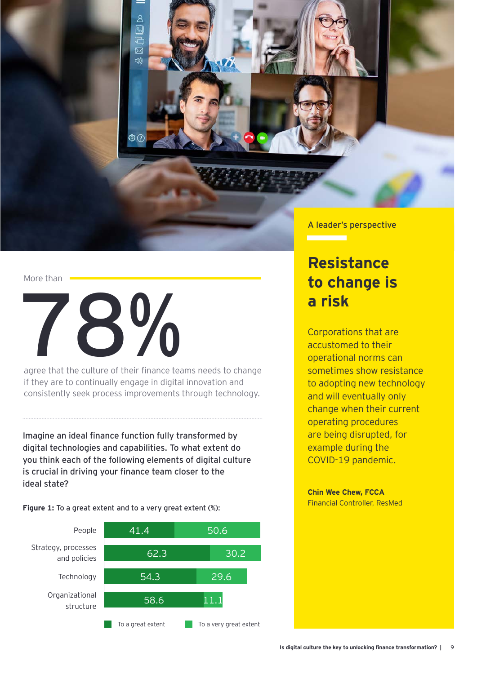

#### More than



agree that the culture of their finance teams needs to change if they are to continually engage in digital innovation and consistently seek process improvements through technology.

Imagine an ideal finance function fully transformed by digital technologies and capabilities. To what extent do you think each of the following elements of digital culture is crucial in driving your finance team closer to the ideal state?

**Figure 1:** To a great extent and to a very great extent (%):



A leader's perspective

### **Resistance to change is a risk**

Corporations that are accustomed to their operational norms can sometimes show resistance to adopting new technology and will eventually only change when their current operating procedures are being disrupted, for example during the COVID-19 pandemic.

**Chin Wee Chew, FCCA** Financial Controller, ResMed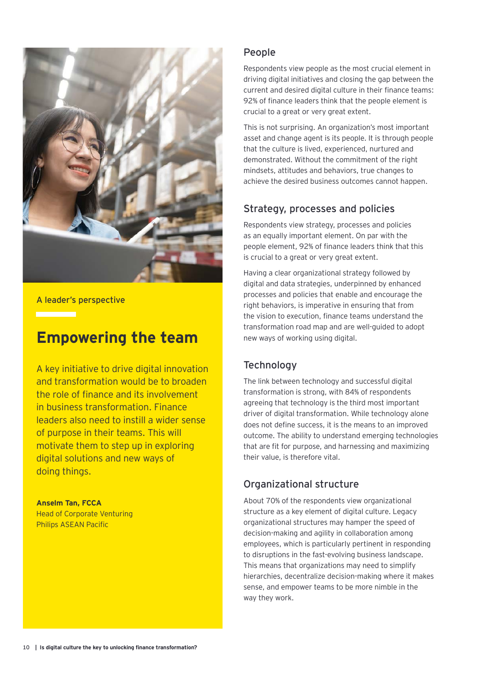

A leader's perspective

### **Empowering the team**

A key initiative to drive digital innovation and transformation would be to broaden the role of finance and its involvement in business transformation. Finance leaders also need to instill a wider sense of purpose in their teams. This will motivate them to step up in exploring digital solutions and new ways of doing things.

**Anselm Tan, FCCA** Head of Corporate Venturing Philips ASEAN Pacific

#### People

Respondents view people as the most crucial element in driving digital initiatives and closing the gap between the current and desired digital culture in their finance teams: 92% of finance leaders think that the people element is crucial to a great or very great extent.

This is not surprising. An organization's most important asset and change agent is its people. It is through people that the culture is lived, experienced, nurtured and demonstrated. Without the commitment of the right mindsets, attitudes and behaviors, true changes to achieve the desired business outcomes cannot happen.

#### Strategy, processes and policies

Respondents view strategy, processes and policies as an equally important element. On par with the people element, 92% of finance leaders think that this is crucial to a great or very great extent.

Having a clear organizational strategy followed by digital and data strategies, underpinned by enhanced processes and policies that enable and encourage the right behaviors, is imperative in ensuring that from the vision to execution, finance teams understand the transformation road map and are well-guided to adopt new ways of working using digital.

#### **Technology**

The link between technology and successful digital transformation is strong, with 84% of respondents agreeing that technology is the third most important driver of digital transformation. While technology alone does not define success, it is the means to an improved outcome. The ability to understand emerging technologies that are fit for purpose, and harnessing and maximizing their value, is therefore vital.

#### Organizational structure

About 70% of the respondents view organizational structure as a key element of digital culture. Legacy organizational structures may hamper the speed of decision-making and agility in collaboration among employees, which is particularly pertinent in responding to disruptions in the fast-evolving business landscape. This means that organizations may need to simplify hierarchies, decentralize decision-making where it makes sense, and empower teams to be more nimble in the way they work.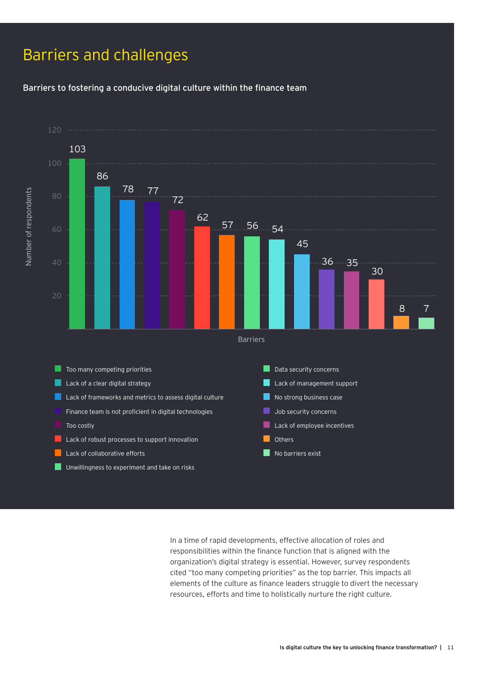### Barriers and challenges

Barriers to fostering a conducive digital culture within the finance team



In a time of rapid developments, effective allocation of roles and responsibilities within the finance function that is aligned with the organization's digital strategy is essential. However, survey respondents cited "too many competing priorities" as the top barrier. This impacts all elements of the culture as finance leaders struggle to divert the necessary resources, efforts and time to holistically nurture the right culture.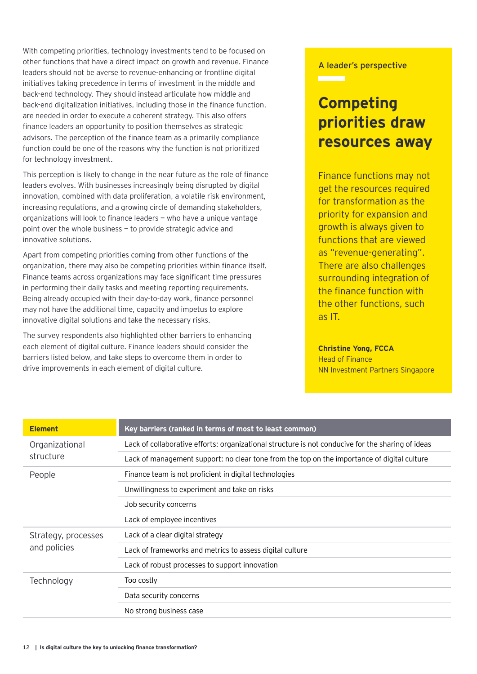With competing priorities, technology investments tend to be focused on other functions that have a direct impact on growth and revenue. Finance leaders should not be averse to revenue-enhancing or frontline digital initiatives taking precedence in terms of investment in the middle and back-end technology. They should instead articulate how middle and back-end digitalization initiatives, including those in the finance function, are needed in order to execute a coherent strategy. This also offers finance leaders an opportunity to position themselves as strategic advisors. The perception of the finance team as a primarily compliance function could be one of the reasons why the function is not prioritized for technology investment.

This perception is likely to change in the near future as the role of finance leaders evolves. With businesses increasingly being disrupted by digital innovation, combined with data proliferation, a volatile risk environment, increasing regulations, and a growing circle of demanding stakeholders, organizations will look to finance leaders — who have a unique vantage point over the whole business — to provide strategic advice and innovative solutions.

Apart from competing priorities coming from other functions of the organization, there may also be competing priorities within finance itself. Finance teams across organizations may face significant time pressures in performing their daily tasks and meeting reporting requirements. Being already occupied with their day-to-day work, finance personnel may not have the additional time, capacity and impetus to explore innovative digital solutions and take the necessary risks.

The survey respondents also highlighted other barriers to enhancing each element of digital culture. Finance leaders should consider the barriers listed below, and take steps to overcome them in order to drive improvements in each element of digital culture.

#### A leader's perspective

<u>e a se</u>

### **Competing priorities draw resources away**

Finance functions may not get the resources required for transformation as the priority for expansion and growth is always given to functions that are viewed as "revenue-generating". There are also challenges surrounding integration of the finance function with the other functions, such as IT.

#### **Christine Yong, FCCA**

Head of Finance NN Investment Partners Singapore

| <b>Element</b>      | Key barriers (ranked in terms of most to least common)                                            |  |  |
|---------------------|---------------------------------------------------------------------------------------------------|--|--|
| Organizational      | Lack of collaborative efforts: organizational structure is not conducive for the sharing of ideas |  |  |
| structure           | Lack of management support: no clear tone from the top on the importance of digital culture       |  |  |
| People              | Finance team is not proficient in digital technologies                                            |  |  |
|                     | Unwillingness to experiment and take on risks                                                     |  |  |
|                     | Job security concerns                                                                             |  |  |
|                     | Lack of employee incentives                                                                       |  |  |
| Strategy, processes | Lack of a clear digital strategy                                                                  |  |  |
| and policies        | Lack of frameworks and metrics to assess digital culture                                          |  |  |
|                     | Lack of robust processes to support innovation                                                    |  |  |
| Technology          | Too costly                                                                                        |  |  |
|                     | Data security concerns                                                                            |  |  |
|                     | No strong business case                                                                           |  |  |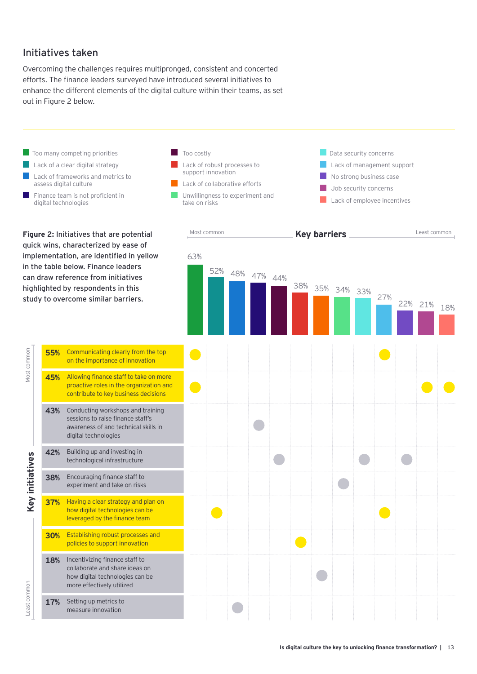#### Initiatives taken

Overcoming the challenges requires multipronged, consistent and concerted efforts. The finance leaders surveyed have introduced several initiatives to enhance the different elements of the digital culture within their teams, as set out in Figure 2 below.

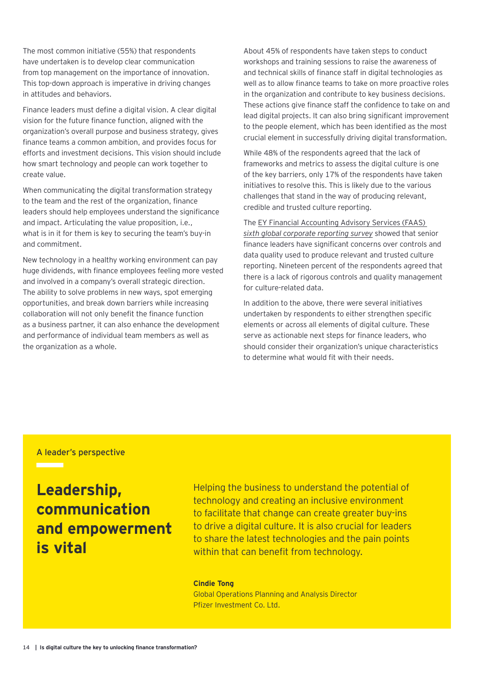The most common initiative (55%) that respondents have undertaken is to develop clear communication from top management on the importance of innovation. This top-down approach is imperative in driving changes in attitudes and behaviors.

Finance leaders must define a digital vision. A clear digital vision for the future finance function, aligned with the organization's overall purpose and business strategy, gives finance teams a common ambition, and provides focus for efforts and investment decisions. This vision should include how smart technology and people can work together to create value.

When communicating the digital transformation strategy to the team and the rest of the organization, finance leaders should help employees understand the significance and impact. Articulating the value proposition, i.e., what is in it for them is key to securing the team's buy-in and commitment.

New technology in a healthy working environment can pay huge dividends, with finance employees feeling more vested and involved in a company's overall strategic direction. The ability to solve problems in new ways, spot emerging opportunities, and break down barriers while increasing collaboration will not only benefit the finance function as a business partner, it can also enhance the development and performance of individual team members as well as the organization as a whole.

About 45% of respondents have taken steps to conduct workshops and training sessions to raise the awareness of and technical skills of finance staff in digital technologies as well as to allow finance teams to take on more proactive roles in the organization and contribute to key business decisions. These actions give finance staff the confidence to take on and lead digital projects. It can also bring significant improvement to the people element, which has been identified as the most crucial element in successfully driving digital transformation.

While 48% of the respondents agreed that the lack of frameworks and metrics to assess the digital culture is one of the key barriers, only 17% of the respondents have taken initiatives to resolve this. This is likely due to the various challenges that stand in the way of producing relevant, credible and trusted culture reporting.

The [EY Financial Accounting Advisory Services \(FAAS\)](https://www.ey.com/en_sg/assurance/does-corporate-reporting-need-a-culture-shock)  *[sixth global corporate reporting survey](https://www.ey.com/en_sg/assurance/does-corporate-reporting-need-a-culture-shock)* showed that senior finance leaders have significant concerns over controls and data quality used to produce relevant and trusted culture reporting. Nineteen percent of the respondents agreed that there is a lack of rigorous controls and quality management for culture-related data.

In addition to the above, there were several initiatives undertaken by respondents to either strengthen specific elements or across all elements of digital culture. These serve as actionable next steps for finance leaders, who should consider their organization's unique characteristics to determine what would fit with their needs.

#### A leader's perspective

**Leadership, communication and empowerment is vital** 

Helping the business to understand the potential of technology and creating an inclusive environment to facilitate that change can create greater buy-ins to drive a digital culture. It is also crucial for leaders to share the latest technologies and the pain points within that can benefit from technology.

#### **Cindie Tong**

Global Operations Planning and Analysis Director Pfizer Investment Co. Ltd.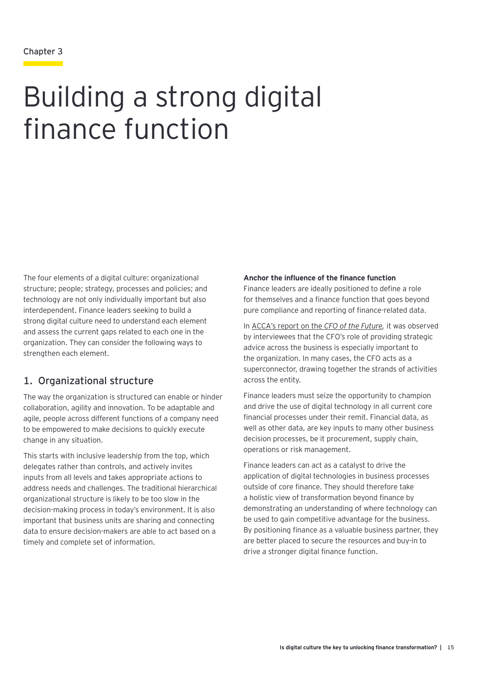# Building a strong digital finance function

The four elements of a digital culture: organizational structure; people; strategy, processes and policies; and technology are not only individually important but also interdependent. Finance leaders seeking to build a strong digital culture need to understand each element and assess the current gaps related to each one in the organization. They can consider the following ways to strengthen each element.

#### 1. Organizational structure

The way the organization is structured can enable or hinder collaboration, agility and innovation. To be adaptable and agile, people across different functions of a company need to be empowered to make decisions to quickly execute change in any situation.

This starts with inclusive leadership from the top, which delegates rather than controls, and actively invites inputs from all levels and takes appropriate actions to address needs and challenges. The traditional hierarchical organizational structure is likely to be too slow in the decision-making process in today's environment. It is also important that business units are sharing and connecting data to ensure decision-makers are able to act based on a timely and complete set of information.

#### **Anchor the influence of the finance function**

Finance leaders are ideally positioned to define a role for themselves and a finance function that goes beyond pure compliance and reporting of finance-related data.

In [ACCA's report on the](https://www.accaglobal.com/pk/en/professional-insights/pro-accountants-the-future/cfo_future.html) *CFO of the Future,* it was observed by interviewees that the CFO's role of providing strategic advice across the business is especially important to the organization. In many cases, the CFO acts as a superconnector, drawing together the strands of activities across the entity.

Finance leaders must seize the opportunity to champion and drive the use of digital technology in all current core financial processes under their remit. Financial data, as well as other data, are key inputs to many other business decision processes, be it procurement, supply chain, operations or risk management.

Finance leaders can act as a catalyst to drive the application of digital technologies in business processes outside of core finance. They should therefore take a holistic view of transformation beyond finance by demonstrating an understanding of where technology can be used to gain competitive advantage for the business. By positioning finance as a valuable business partner, they are better placed to secure the resources and buy-in to drive a stronger digital finance function.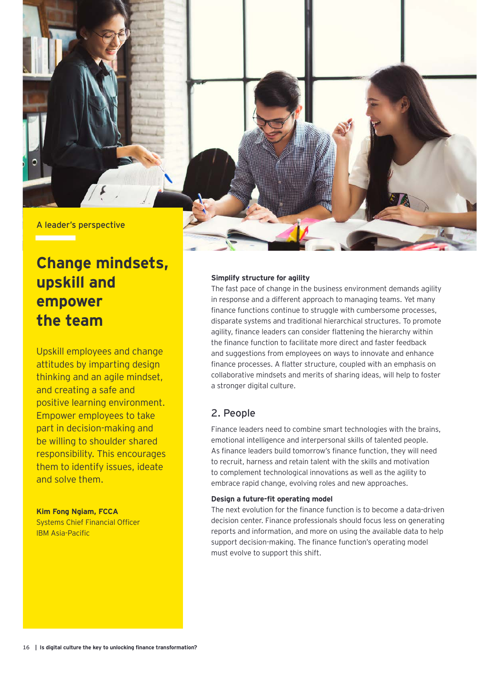

## **Change mindsets, upskill and empower the team**

Upskill employees and change attitudes by imparting design thinking and an agile mindset, and creating a safe and positive learning environment. Empower employees to take part in decision-making and be willing to shoulder shared responsibility. This encourages them to identify issues, ideate and solve them.

#### **Kim Fong Ngiam, FCCA**

Systems Chief Financial Officer IBM Asia-Pacific

#### **Simplify structure for agility**

The fast pace of change in the business environment demands agility in response and a different approach to managing teams. Yet many finance functions continue to struggle with cumbersome processes, disparate systems and traditional hierarchical structures. To promote agility, finance leaders can consider flattening the hierarchy within the finance function to facilitate more direct and faster feedback and suggestions from employees on ways to innovate and enhance finance processes. A flatter structure, coupled with an emphasis on collaborative mindsets and merits of sharing ideas, will help to foster a stronger digital culture.

#### 2. People

Finance leaders need to combine smart technologies with the brains, emotional intelligence and interpersonal skills of talented people. As finance leaders build tomorrow's finance function, they will need to recruit, harness and retain talent with the skills and motivation to complement technological innovations as well as the agility to embrace rapid change, evolving roles and new approaches.

#### **Design a future-fit operating model**

The next evolution for the finance function is to become a data-driven decision center. Finance professionals should focus less on generating reports and information, and more on using the available data to help support decision-making. The finance function's operating model must evolve to support this shift.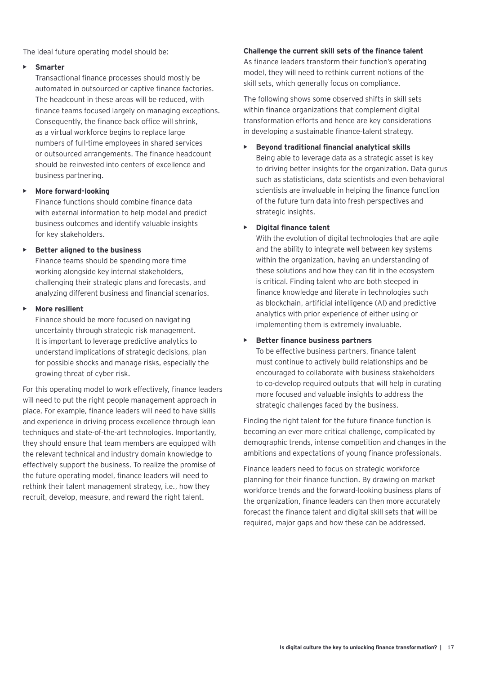The ideal future operating model should be:

#### **• Smarter**

Transactional finance processes should mostly be automated in outsourced or captive finance factories. The headcount in these areas will be reduced, with finance teams focused largely on managing exceptions. Consequently, the finance back office will shrink, as a virtual workforce begins to replace large numbers of full-time employees in shared services or outsourced arrangements. The finance headcount should be reinvested into centers of excellence and business partnering.

#### **• More forward-looking**

Finance functions should combine finance data with external information to help model and predict business outcomes and identify valuable insights for key stakeholders.

#### **• Better aligned to the business**

Finance teams should be spending more time working alongside key internal stakeholders, challenging their strategic plans and forecasts, and analyzing different business and financial scenarios.

#### **• More resilient**

Finance should be more focused on navigating uncertainty through strategic risk management. It is important to leverage predictive analytics to understand implications of strategic decisions, plan for possible shocks and manage risks, especially the growing threat of cyber risk.

For this operating model to work effectively, finance leaders will need to put the right people management approach in place. For example, finance leaders will need to have skills and experience in driving process excellence through lean techniques and state-of-the-art technologies. Importantly, they should ensure that team members are equipped with the relevant technical and industry domain knowledge to effectively support the business. To realize the promise of the future operating model, finance leaders will need to rethink their talent management strategy, i.e., how they recruit, develop, measure, and reward the right talent.

#### **Challenge the current skill sets of the finance talent**

As finance leaders transform their function's operating model, they will need to rethink current notions of the skill sets, which generally focus on compliance.

The following shows some observed shifts in skill sets within finance organizations that complement digital transformation efforts and hence are key considerations in developing a sustainable finance-talent strategy.

#### **• Beyond traditional financial analytical skills**

Being able to leverage data as a strategic asset is key to driving better insights for the organization. Data gurus such as statisticians, data scientists and even behavioral scientists are invaluable in helping the finance function of the future turn data into fresh perspectives and strategic insights.

#### **• Digital finance talent**

With the evolution of digital technologies that are agile and the ability to integrate well between key systems within the organization, having an understanding of these solutions and how they can fit in the ecosystem is critical. Finding talent who are both steeped in finance knowledge and literate in technologies such as blockchain, artificial intelligence (AI) and predictive analytics with prior experience of either using or implementing them is extremely invaluable.

#### **• Better finance business partners**

To be effective business partners, finance talent must continue to actively build relationships and be encouraged to collaborate with business stakeholders to co-develop required outputs that will help in curating more focused and valuable insights to address the strategic challenges faced by the business.

Finding the right talent for the future finance function is becoming an ever more critical challenge, complicated by demographic trends, intense competition and changes in the ambitions and expectations of young finance professionals.

Finance leaders need to focus on strategic workforce planning for their finance function. By drawing on market workforce trends and the forward-looking business plans of the organization, finance leaders can then more accurately forecast the finance talent and digital skill sets that will be required, major gaps and how these can be addressed.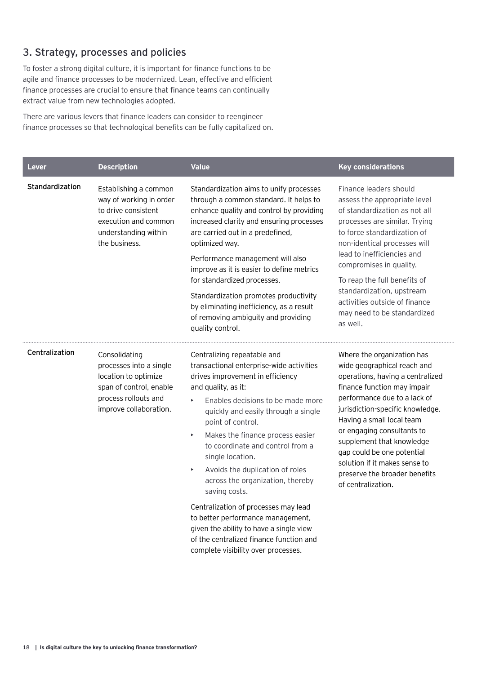#### 3. Strategy, processes and policies

To foster a strong digital culture, it is important for finance functions to be agile and finance processes to be modernized. Lean, effective and efficient finance processes are crucial to ensure that finance teams can continually extract value from new technologies adopted.

There are various levers that finance leaders can consider to reengineer finance processes so that technological benefits can be fully capitalized on.

| <b>Lever</b>    | <b>Description</b>                                                                                                                            | <b>Value</b>                                                                                                                                                                                                                                                                                                                                                                                                                                                                                                                                                                                                                                                         | <b>Key considerations</b>                                                                                                                                                                                                                                                                                                                                                                                      |
|-----------------|-----------------------------------------------------------------------------------------------------------------------------------------------|----------------------------------------------------------------------------------------------------------------------------------------------------------------------------------------------------------------------------------------------------------------------------------------------------------------------------------------------------------------------------------------------------------------------------------------------------------------------------------------------------------------------------------------------------------------------------------------------------------------------------------------------------------------------|----------------------------------------------------------------------------------------------------------------------------------------------------------------------------------------------------------------------------------------------------------------------------------------------------------------------------------------------------------------------------------------------------------------|
| Standardization | Establishing a common<br>way of working in order<br>to drive consistent<br>execution and common<br>understanding within<br>the business.      | Standardization aims to unify processes<br>through a common standard. It helps to<br>enhance quality and control by providing<br>increased clarity and ensuring processes<br>are carried out in a predefined,<br>optimized way.<br>Performance management will also<br>improve as it is easier to define metrics<br>for standardized processes.<br>Standardization promotes productivity<br>by eliminating inefficiency, as a result<br>of removing ambiguity and providing<br>quality control.                                                                                                                                                                      | Finance leaders should<br>assess the appropriate level<br>of standardization as not all<br>processes are similar. Trying<br>to force standardization of<br>non-identical processes will<br>lead to inefficiencies and<br>compromises in quality.<br>To reap the full benefits of<br>standardization, upstream<br>activities outside of finance<br>may need to be standardized<br>as well.                      |
| Centralization  | Consolidating<br>processes into a single<br>location to optimize<br>span of control, enable<br>process rollouts and<br>improve collaboration. | Centralizing repeatable and<br>transactional enterprise-wide activities<br>drives improvement in efficiency<br>and quality, as it:<br>Enables decisions to be made more<br>k<br>quickly and easily through a single<br>point of control.<br>Makes the finance process easier<br>Þ<br>to coordinate and control from a<br>single location.<br>Avoids the duplication of roles<br>$\blacktriangleright$<br>across the organization, thereby<br>saving costs.<br>Centralization of processes may lead<br>to better performance management,<br>given the ability to have a single view<br>of the centralized finance function and<br>complete visibility over processes. | Where the organization has<br>wide geographical reach and<br>operations, having a centralized<br>finance function may impair<br>performance due to a lack of<br>jurisdiction-specific knowledge.<br>Having a small local team<br>or engaging consultants to<br>supplement that knowledge<br>gap could be one potential<br>solution if it makes sense to<br>preserve the broader benefits<br>of centralization. |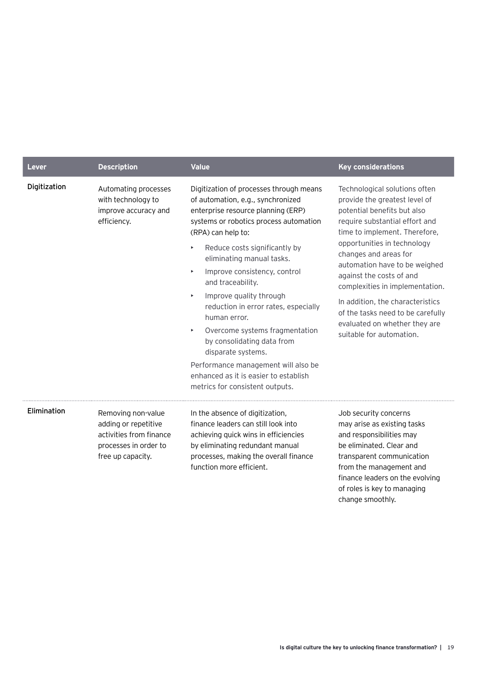| Lever        | <b>Description</b>                                                                                                  | <b>Value</b>                                                                                                                                                                                                                                                                                                                                                                                                                                                                                                                                                                                                                                                   | <b>Key considerations</b>                                                                                                                                                                                                                                                                                                                                                                                                                                      |
|--------------|---------------------------------------------------------------------------------------------------------------------|----------------------------------------------------------------------------------------------------------------------------------------------------------------------------------------------------------------------------------------------------------------------------------------------------------------------------------------------------------------------------------------------------------------------------------------------------------------------------------------------------------------------------------------------------------------------------------------------------------------------------------------------------------------|----------------------------------------------------------------------------------------------------------------------------------------------------------------------------------------------------------------------------------------------------------------------------------------------------------------------------------------------------------------------------------------------------------------------------------------------------------------|
| Digitization | Automating processes<br>with technology to<br>improve accuracy and<br>efficiency.                                   | Digitization of processes through means<br>of automation, e.g., synchronized<br>enterprise resource planning (ERP)<br>systems or robotics process automation<br>(RPA) can help to:<br>Reduce costs significantly by<br>$\blacktriangleright$<br>eliminating manual tasks.<br>Improve consistency, control<br>Þ<br>and traceability.<br>Improve quality through<br>$\blacktriangleright$<br>reduction in error rates, especially<br>human error.<br>Overcome systems fragmentation<br>Þ.<br>by consolidating data from<br>disparate systems.<br>Performance management will also be<br>enhanced as it is easier to establish<br>metrics for consistent outputs. | Technological solutions often<br>provide the greatest level of<br>potential benefits but also<br>require substantial effort and<br>time to implement. Therefore,<br>opportunities in technology<br>changes and areas for<br>automation have to be weighed<br>against the costs of and<br>complexities in implementation.<br>In addition, the characteristics<br>of the tasks need to be carefully<br>evaluated on whether they are<br>suitable for automation. |
| Elimination  | Removing non-value<br>adding or repetitive<br>activities from finance<br>processes in order to<br>free up capacity. | In the absence of digitization,<br>finance leaders can still look into<br>achieving quick wins in efficiencies<br>by eliminating redundant manual<br>processes, making the overall finance<br>function more efficient.                                                                                                                                                                                                                                                                                                                                                                                                                                         | Job security concerns<br>may arise as existing tasks<br>and responsibilities may<br>be eliminated. Clear and<br>transparent communication<br>from the management and<br>finance leaders on the evolving                                                                                                                                                                                                                                                        |

of roles is key to managing

change smoothly.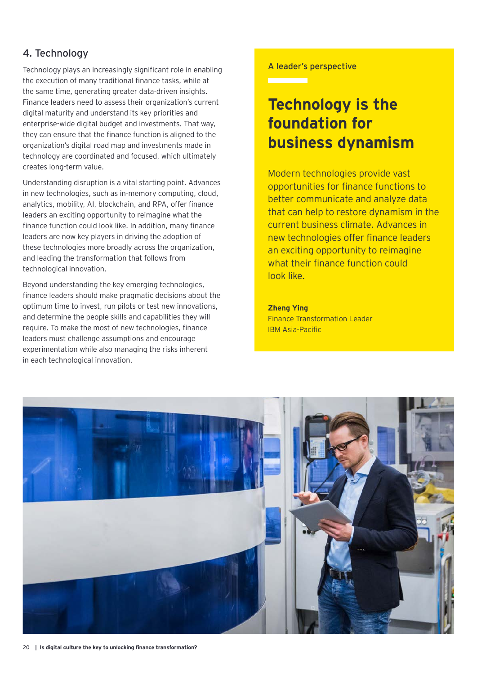#### 4. Technology

Technology plays an increasingly significant role in enabling the execution of many traditional finance tasks, while at the same time, generating greater data-driven insights. Finance leaders need to assess their organization's current digital maturity and understand its key priorities and enterprise-wide digital budget and investments. That way, they can ensure that the finance function is aligned to the organization's digital road map and investments made in technology are coordinated and focused, which ultimately creates long-term value.

Understanding disruption is a vital starting point. Advances in new technologies, such as in-memory computing, cloud, analytics, mobility, AI, blockchain, and RPA, offer finance leaders an exciting opportunity to reimagine what the finance function could look like. In addition, many finance leaders are now key players in driving the adoption of these technologies more broadly across the organization, and leading the transformation that follows from technological innovation.

Beyond understanding the key emerging technologies, finance leaders should make pragmatic decisions about the optimum time to invest, run pilots or test new innovations, and determine the people skills and capabilities they will require. To make the most of new technologies, finance leaders must challenge assumptions and encourage experimentation while also managing the risks inherent in each technological innovation.

#### A leader's perspective

### **Technology is the foundation for business dynamism**

Modern technologies provide vast opportunities for finance functions to better communicate and analyze data that can help to restore dynamism in the current business climate. Advances in new technologies offer finance leaders an exciting opportunity to reimagine what their finance function could look like.

**Zheng Ying** Finance Transformation Leader IBM Asia-Pacific

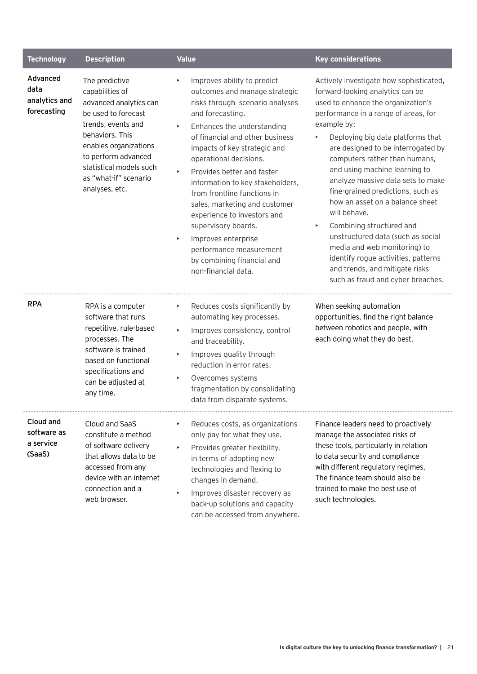| <b>Technology</b>                                | <b>Description</b>                                                                                                                                                                                                                                | <b>Value</b>                                                                                                                                                                                                                                                                                                                                                                                                                                                                                                                                                                                                                                   | <b>Key considerations</b>                                                                                                                                                                                                                                                                                                                                                                                                                                                                                                                                                                                                                                               |
|--------------------------------------------------|---------------------------------------------------------------------------------------------------------------------------------------------------------------------------------------------------------------------------------------------------|------------------------------------------------------------------------------------------------------------------------------------------------------------------------------------------------------------------------------------------------------------------------------------------------------------------------------------------------------------------------------------------------------------------------------------------------------------------------------------------------------------------------------------------------------------------------------------------------------------------------------------------------|-------------------------------------------------------------------------------------------------------------------------------------------------------------------------------------------------------------------------------------------------------------------------------------------------------------------------------------------------------------------------------------------------------------------------------------------------------------------------------------------------------------------------------------------------------------------------------------------------------------------------------------------------------------------------|
| Advanced<br>data<br>analytics and<br>forecasting | The predictive<br>capabilities of<br>advanced analytics can<br>be used to forecast<br>trends, events and<br>behaviors. This<br>enables organizations<br>to perform advanced<br>statistical models such<br>as "what-if" scenario<br>analyses, etc. | Improves ability to predict<br>$\blacktriangleright$<br>outcomes and manage strategic<br>risks through scenario analyses<br>and forecasting.<br>Enhances the understanding<br>$\blacktriangleright$<br>of financial and other business<br>impacts of key strategic and<br>operational decisions.<br>Provides better and faster<br>$\bar{\mathbf{r}}$<br>information to key stakeholders,<br>from frontline functions in<br>sales, marketing and customer<br>experience to investors and<br>supervisory boards.<br>Improves enterprise<br>$\blacktriangleright$<br>performance measurement<br>by combining financial and<br>non-financial data. | Actively investigate how sophisticated,<br>forward-looking analytics can be<br>used to enhance the organization's<br>performance in a range of areas, for<br>example by:<br>Deploying big data platforms that<br>are designed to be interrogated by<br>computers rather than humans,<br>and using machine learning to<br>analyze massive data sets to make<br>fine-grained predictions, such as<br>how an asset on a balance sheet<br>will behave.<br>Combining structured and<br>Þ.<br>unstructured data (such as social<br>media and web monitoring) to<br>identify roque activities, patterns<br>and trends, and mitigate risks<br>such as fraud and cyber breaches. |
| <b>RPA</b>                                       | RPA is a computer<br>software that runs<br>repetitive, rule-based<br>processes. The<br>software is trained<br>based on functional<br>specifications and<br>can be adjusted at<br>any time.                                                        | Reduces costs significantly by<br>$\blacktriangleright$<br>automating key processes.<br>Improves consistency, control<br>$\blacktriangleright$<br>and traceability.<br>Improves quality through<br>$\blacktriangleright$<br>reduction in error rates.<br>Overcomes systems<br>$\blacktriangleright$<br>fragmentation by consolidating<br>data from disparate systems.                                                                                                                                                                                                                                                                          | When seeking automation<br>opportunities, find the right balance<br>between robotics and people, with<br>each doing what they do best.                                                                                                                                                                                                                                                                                                                                                                                                                                                                                                                                  |
| Cloud and<br>software as<br>a service<br>(SaaS)  | Cloud and SaaS<br>constitute a method<br>of software delivery<br>that allows data to be<br>accessed from any<br>device with an internet<br>connection and a<br>web browser.                                                                       | Reduces costs, as organizations<br>$\blacktriangleright$<br>only pay for what they use.<br>Provides greater flexibility,<br>in terms of adopting new<br>technologies and flexing to<br>changes in demand.<br>Improves disaster recovery as<br>$\blacktriangleright$<br>back-up solutions and capacity<br>can be accessed from anywhere.                                                                                                                                                                                                                                                                                                        | Finance leaders need to proactively<br>manage the associated risks of<br>these tools, particularly in relation<br>to data security and compliance<br>with different regulatory regimes.<br>The finance team should also be<br>trained to make the best use of<br>such technologies.                                                                                                                                                                                                                                                                                                                                                                                     |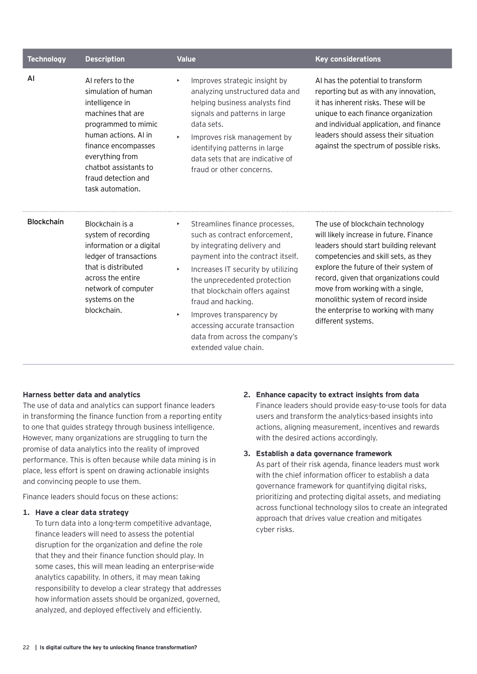| <b>Technology</b> | <b>Description</b>                                                                                                                                                                                                                           | <b>Value</b>                                                                                                                                                                                                                                                                                                                                                                                                                  | <b>Key considerations</b>                                                                                                                                                                                                                                                                                                                                                               |
|-------------------|----------------------------------------------------------------------------------------------------------------------------------------------------------------------------------------------------------------------------------------------|-------------------------------------------------------------------------------------------------------------------------------------------------------------------------------------------------------------------------------------------------------------------------------------------------------------------------------------------------------------------------------------------------------------------------------|-----------------------------------------------------------------------------------------------------------------------------------------------------------------------------------------------------------------------------------------------------------------------------------------------------------------------------------------------------------------------------------------|
| AI                | AI refers to the<br>simulation of human<br>intelligence in<br>machines that are<br>programmed to mimic<br>human actions. Al in<br>finance encompasses<br>everything from<br>chatbot assistants to<br>fraud detection and<br>task automation. | Improves strategic insight by<br>$\blacktriangleright$<br>analyzing unstructured data and<br>helping business analysts find<br>signals and patterns in large<br>data sets.<br>Improves risk management by<br>identifying patterns in large<br>data sets that are indicative of<br>fraud or other concerns.                                                                                                                    | AI has the potential to transform<br>reporting but as with any innovation,<br>it has inherent risks. These will be<br>unique to each finance organization<br>and individual application, and finance<br>leaders should assess their situation<br>against the spectrum of possible risks.                                                                                                |
| <b>Blockchain</b> | Blockchain is a<br>system of recording<br>information or a digital<br>ledger of transactions<br>that is distributed<br>across the entire<br>network of computer<br>systems on the<br>blockchain.                                             | Streamlines finance processes,<br>×<br>such as contract enforcement,<br>by integrating delivery and<br>payment into the contract itself.<br>Increases IT security by utilizing<br>$\blacktriangleright$<br>the unprecedented protection<br>that blockchain offers against<br>fraud and hacking.<br>Improves transparency by<br>×<br>accessing accurate transaction<br>data from across the company's<br>extended value chain. | The use of blockchain technology<br>will likely increase in future. Finance<br>leaders should start building relevant<br>competencies and skill sets, as they<br>explore the future of their system of<br>record, given that organizations could<br>move from working with a single,<br>monolithic system of record inside<br>the enterprise to working with many<br>different systems. |

#### **Harness better data and analytics**

The use of data and analytics can support finance leaders in transforming the finance function from a reporting entity to one that guides strategy through business intelligence. However, many organizations are struggling to turn the promise of data analytics into the reality of improved performance. This is often because while data mining is in place, less effort is spent on drawing actionable insights and convincing people to use them.

Finance leaders should focus on these actions:

#### **1. Have a clear data strategy**

To turn data into a long-term competitive advantage, finance leaders will need to assess the potential disruption for the organization and define the role that they and their finance function should play. In some cases, this will mean leading an enterprise-wide analytics capability. In others, it may mean taking responsibility to develop a clear strategy that addresses how information assets should be organized, governed, analyzed, and deployed effectively and efficiently.

**2. Enhance capacity to extract insights from data** Finance leaders should provide easy-to-use tools for data users and transform the analytics-based insights into actions, aligning measurement, incentives and rewards with the desired actions accordingly.

#### **3. Establish a data governance framework**

As part of their risk agenda, finance leaders must work with the chief information officer to establish a data governance framework for quantifying digital risks, prioritizing and protecting digital assets, and mediating across functional technology silos to create an integrated approach that drives value creation and mitigates cyber risks.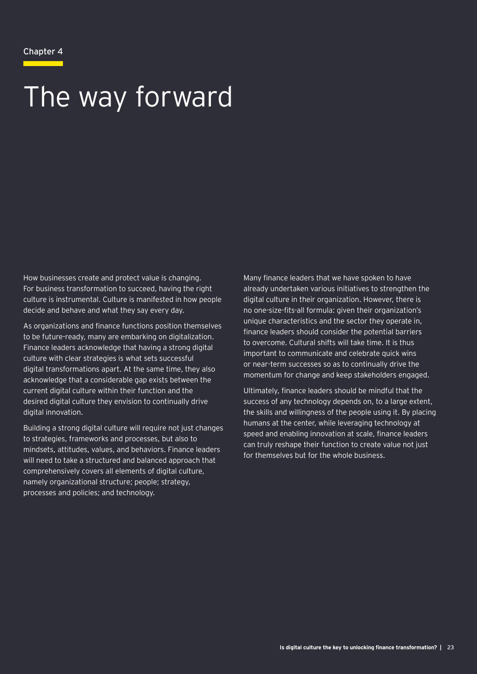#### Chapter 4

# The way forward

How businesses create and protect value is changing. For business transformation to succeed, having the right culture is instrumental. Culture is manifested in how people decide and behave and what they say every day.

As organizations and finance functions position themselves to be future-ready, many are embarking on digitalization. Finance leaders acknowledge that having a strong digital culture with clear strategies is what sets successful digital transformations apart. At the same time, they also acknowledge that a considerable gap exists between the current digital culture within their function and the desired digital culture they envision to continually drive digital innovation.

Building a strong digital culture will require not just changes to strategies, frameworks and processes, but also to mindsets, attitudes, values, and behaviors. Finance leaders will need to take a structured and balanced approach that comprehensively covers all elements of digital culture, namely organizational structure; people; strategy, processes and policies; and technology.

Many finance leaders that we have spoken to have already undertaken various initiatives to strengthen the digital culture in their organization. However, there is no one-size-fits-all formula: given their organization's unique characteristics and the sector they operate in, finance leaders should consider the potential barriers to overcome. Cultural shifts will take time. It is thus important to communicate and celebrate quick wins or near-term successes so as to continually drive the momentum for change and keep stakeholders engaged.

Ultimately, finance leaders should be mindful that the success of any technology depends on, to a large extent, the skills and willingness of the people using it. By placing humans at the center, while leveraging technology at speed and enabling innovation at scale, finance leaders can truly reshape their function to create value not just for themselves but for the whole business.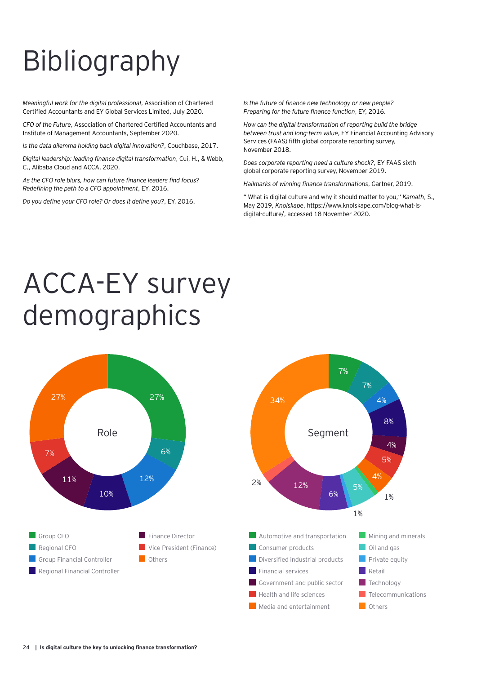# Bibliography

*Meaningful work for the digital professional*, Association of Chartered Certified Accountants and EY Global Services Limited, July 2020.

*CFO of the Future*, Association of Chartered Certified Accountants and Institute of Management Accountants, September 2020.

*Is the data dilemma holding back digital innovation?*, Couchbase, 2017.

*Digital leadership: leading finance digital transformation*, Cui, H., & Webb, C., Alibaba Cloud and ACCA, 2020.

*As the CFO role blurs, how can future finance leaders find focus? Redefining the path to a CFO appointment*, EY, 2016.

*Do you define your CFO role? Or does it define you?*, EY, 2016.

*Is the future of finance new technology or new people? Preparing for the future finance function*, EY, 2016.

*How can the digital transformation of reporting build the bridge between trust and long-term value*, EY Financial Accounting Advisory Services (FAAS) fifth global corporate reporting survey, November 2018.

*Does corporate reporting need a culture shock?*, EY FAAS sixth global corporate reporting survey, November 2019.

*Hallmarks of winning finance transformations*, Gartner, 2019.

" What is digital culture and why it should matter to you," *Kamath*, S., May 2019, *Knolskape*, https://www.knolskape.com/blog-what-isdigital-culture/, accessed 18 November 2020.

# ACCA-EY survey demographics

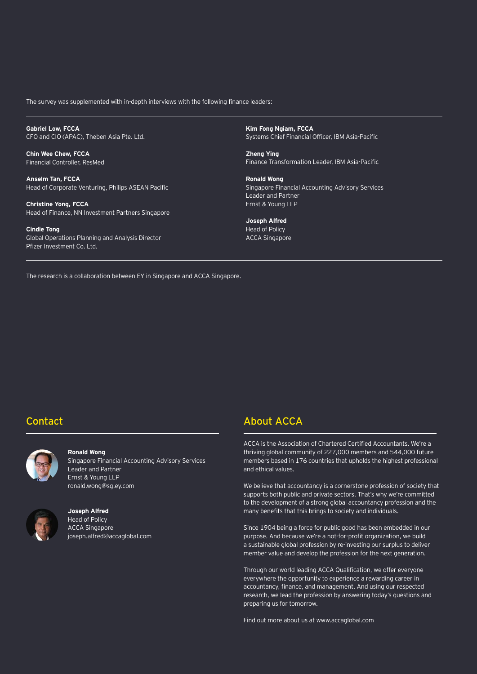The survey was supplemented with in-depth interviews with the following finance leaders:

**Gabriel Low, FCCA** CFO and CIO (APAC), Theben Asia Pte. Ltd.

**Chin Wee Chew, FCCA** Financial Controller, ResMed

**Anselm Tan, FCCA** Head of Corporate Venturing, Philips ASEAN Pacific

**Christine Yong, FCCA** Head of Finance, NN Investment Partners Singapore

**Cindie Tong** Global Operations Planning and Analysis Director Pfizer Investment Co. Ltd.

**Kim Fong Ngiam, FCCA** Systems Chief Financial Officer, IBM Asia-Pacific

**Zheng Ying** Finance Transformation Leader, IBM Asia-Pacific

**Ronald Wong** Singapore Financial Accounting Advisory Services Leader and Partner Ernst & Young LLP

**Joseph Alfred** Head of Policy ACCA Singapore

The research is a collaboration between EY in Singapore and ACCA Singapore.

#### Contact



#### **Ronald Wong**

Singapore Financial Accounting Advisory Services Leader and Partner Ernst & Young LLP ronald.wong@sg.ey.com



#### **Joseph Alfred**  Head of Policy ACCA Singapore joseph.alfred@accaglobal.com

#### About ACCA

ACCA is the Association of Chartered Certified Accountants. We're a thriving global community of 227,000 members and 544,000 future members based in 176 countries that upholds the highest professional and ethical values.

We believe that accountancy is a cornerstone profession of society that supports both public and private sectors. That's why we're committed to the development of a strong global accountancy profession and the many benefits that this brings to society and individuals.

Since 1904 being a force for public good has been embedded in our purpose. And because we're a not-for-profit organization, we build a sustainable global profession by re-investing our surplus to deliver member value and develop the profession for the next generation.

Through our world leading ACCA Qualification, we offer everyone everywhere the opportunity to experience a rewarding career in accountancy, finance, and management. And using our respected research, we lead the profession by answering today's questions and preparing us for tomorrow.

Find out more about us at www.accaglobal.com